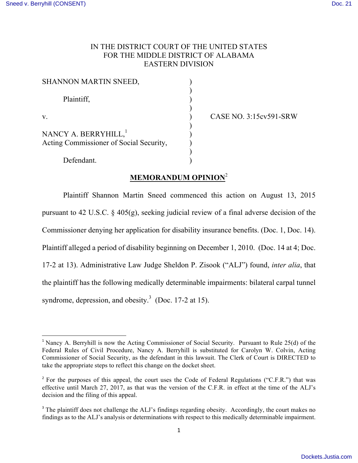## IN THE DISTRICT COURT OF THE UNITED STATES FOR THE MIDDLE DISTRICT OF ALABAMA EASTERN DIVISION

| <b>SHANNON MARTIN SNEED,</b>                                                |  |
|-----------------------------------------------------------------------------|--|
| Plaintiff,                                                                  |  |
| V.                                                                          |  |
| NANCY A. BERRYHILL, <sup>1</sup><br>Acting Commissioner of Social Security, |  |
| Defendant.                                                                  |  |

 

v. ) CASE NO. 3:15cv591-SRW

# **MEMORANDUM OPINION**<sup>2</sup>

Plaintiff Shannon Martin Sneed commenced this action on August 13, 2015 pursuant to 42 U.S.C. § 405(g), seeking judicial review of a final adverse decision of the Commissioner denying her application for disability insurance benefits. (Doc. 1, Doc. 14). Plaintiff alleged a period of disability beginning on December 1, 2010. (Doc. 14 at 4; Doc. 17-2 at 13). Administrative Law Judge Sheldon P. Zisook ("ALJ") found, *inter alia*, that the plaintiff has the following medically determinable impairments: bilateral carpal tunnel syndrome, depression, and obesity.<sup>3</sup> (Doc. 17-2 at 15).

<sup>&</sup>lt;sup>1</sup> Nancy A. Berryhill is now the Acting Commissioner of Social Security. Pursuant to Rule 25(d) of the Federal Rules of Civil Procedure, Nancy A. Berryhill is substituted for Carolyn W. Colvin, Acting Commissioner of Social Security, as the defendant in this lawsuit. The Clerk of Court is DIRECTED to take the appropriate steps to reflect this change on the docket sheet.

 $2^{\circ}$  For the purposes of this appeal, the court uses the Code of Federal Regulations ("C.F.R.") that was effective until March 27, 2017, as that was the version of the C.F.R. in effect at the time of the ALJ's decision and the filing of this appeal.

<sup>&</sup>lt;sup>3</sup> The plaintiff does not challenge the ALJ's findings regarding obesity. Accordingly, the court makes no findings as to the ALJ's analysis or determinations with respect to this medically determinable impairment.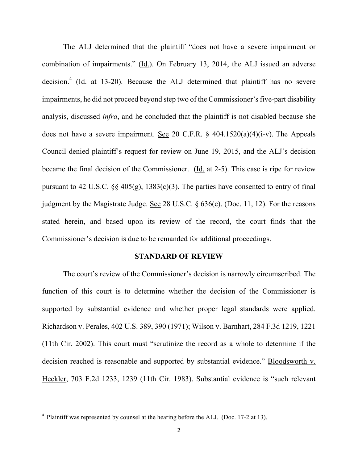The ALJ determined that the plaintiff "does not have a severe impairment or combination of impairments." (Id.). On February 13, 2014, the ALJ issued an adverse decision.<sup>4</sup> (Id. at 13-20). Because the ALJ determined that plaintiff has no severe impairments, he did not proceed beyond step two of the Commissioner's five-part disability analysis, discussed *infra*, and he concluded that the plaintiff is not disabled because she does not have a severe impairment. See 20 C.F.R. § 404.1520(a)(4)(i-v). The Appeals Council denied plaintiff's request for review on June 19, 2015, and the ALJ's decision became the final decision of the Commissioner. (Id. at 2-5). This case is ripe for review pursuant to 42 U.S.C.  $\S$  405(g), 1383(c)(3). The parties have consented to entry of final judgment by the Magistrate Judge. See 28 U.S.C. § 636(c). (Doc. 11, 12). For the reasons stated herein, and based upon its review of the record, the court finds that the Commissioner's decision is due to be remanded for additional proceedings.

#### **STANDARD OF REVIEW**

The court's review of the Commissioner's decision is narrowly circumscribed. The function of this court is to determine whether the decision of the Commissioner is supported by substantial evidence and whether proper legal standards were applied. Richardson v. Perales, 402 U.S. 389, 390 (1971); Wilson v. Barnhart, 284 F.3d 1219, 1221 (11th Cir. 2002). This court must "scrutinize the record as a whole to determine if the decision reached is reasonable and supported by substantial evidence." Bloodsworth v. Heckler, 703 F.2d 1233, 1239 (11th Cir. 1983). Substantial evidence is "such relevant

<sup>&</sup>lt;sup>4</sup> Plaintiff was represented by counsel at the hearing before the ALJ. (Doc. 17-2 at 13).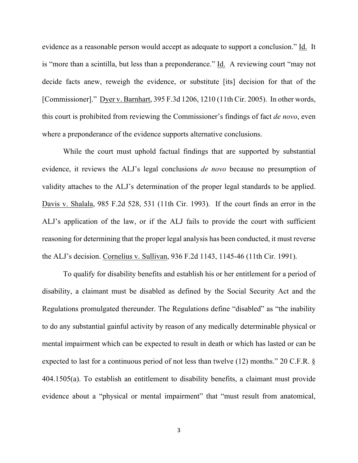evidence as a reasonable person would accept as adequate to support a conclusion." Id. It is "more than a scintilla, but less than a preponderance." Id. A reviewing court "may not decide facts anew, reweigh the evidence, or substitute [its] decision for that of the [Commissioner]." Dyer v. Barnhart, 395 F.3d 1206, 1210 (11th Cir. 2005). In other words, this court is prohibited from reviewing the Commissioner's findings of fact *de novo*, even where a preponderance of the evidence supports alternative conclusions.

While the court must uphold factual findings that are supported by substantial evidence, it reviews the ALJ's legal conclusions *de novo* because no presumption of validity attaches to the ALJ's determination of the proper legal standards to be applied. Davis v. Shalala, 985 F.2d 528, 531 (11th Cir. 1993). If the court finds an error in the ALJ's application of the law, or if the ALJ fails to provide the court with sufficient reasoning for determining that the proper legal analysis has been conducted, it must reverse the ALJ's decision. Cornelius v. Sullivan, 936 F.2d 1143, 1145-46 (11th Cir. 1991).

To qualify for disability benefits and establish his or her entitlement for a period of disability, a claimant must be disabled as defined by the Social Security Act and the Regulations promulgated thereunder. The Regulations define "disabled" as "the inability to do any substantial gainful activity by reason of any medically determinable physical or mental impairment which can be expected to result in death or which has lasted or can be expected to last for a continuous period of not less than twelve (12) months." 20 C.F.R. § 404.1505(a). To establish an entitlement to disability benefits, a claimant must provide evidence about a "physical or mental impairment" that "must result from anatomical,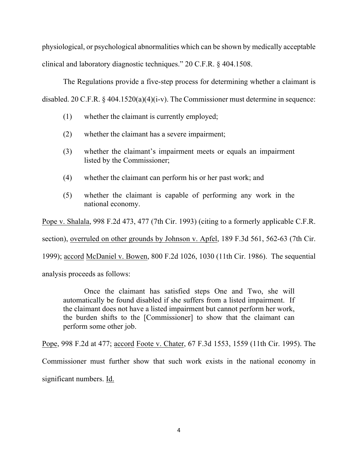physiological, or psychological abnormalities which can be shown by medically acceptable clinical and laboratory diagnostic techniques." 20 C.F.R. § 404.1508.

The Regulations provide a five-step process for determining whether a claimant is disabled. 20 C.F.R.  $\S$  404.1520(a)(4)(i-v). The Commissioner must determine in sequence:

- (1) whether the claimant is currently employed;
- (2) whether the claimant has a severe impairment;
- (3) whether the claimant's impairment meets or equals an impairment listed by the Commissioner;
- (4) whether the claimant can perform his or her past work; and
- (5) whether the claimant is capable of performing any work in the national economy.

Pope v. Shalala, 998 F.2d 473, 477 (7th Cir. 1993) (citing to a formerly applicable C.F.R.

section), overruled on other grounds by Johnson v. Apfel, 189 F.3d 561, 562-63 (7th Cir.

1999); accord McDaniel v. Bowen, 800 F.2d 1026, 1030 (11th Cir. 1986). The sequential

analysis proceeds as follows:

Once the claimant has satisfied steps One and Two, she will automatically be found disabled if she suffers from a listed impairment. If the claimant does not have a listed impairment but cannot perform her work, the burden shifts to the [Commissioner] to show that the claimant can perform some other job.

Pope, 998 F.2d at 477; accord Foote v. Chater, 67 F.3d 1553, 1559 (11th Cir. 1995). The Commissioner must further show that such work exists in the national economy in significant numbers. Id.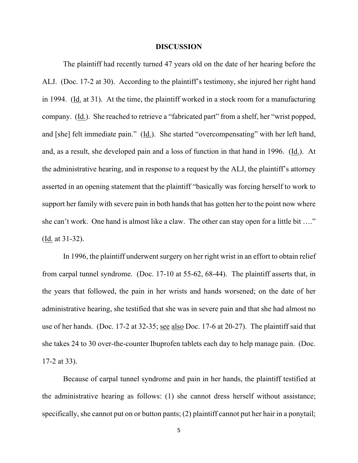#### **DISCUSSION**

The plaintiff had recently turned 47 years old on the date of her hearing before the ALJ. (Doc. 17-2 at 30). According to the plaintiff's testimony, she injured her right hand in 1994. (Id. at 31). At the time, the plaintiff worked in a stock room for a manufacturing company. (Id.). She reached to retrieve a "fabricated part" from a shelf, her "wrist popped, and [she] felt immediate pain." (Id.). She started "overcompensating" with her left hand, and, as a result, she developed pain and a loss of function in that hand in 1996. (Id.). At the administrative hearing, and in response to a request by the ALJ, the plaintiff's attorney asserted in an opening statement that the plaintiff "basically was forcing herself to work to support her family with severe pain in both hands that has gotten her to the point now where she can't work. One hand is almost like a claw. The other can stay open for a little bit …." (Id. at 31-32).

In 1996, the plaintiff underwent surgery on her right wrist in an effort to obtain relief from carpal tunnel syndrome. (Doc. 17-10 at 55-62, 68-44). The plaintiff asserts that, in the years that followed, the pain in her wrists and hands worsened; on the date of her administrative hearing, she testified that she was in severe pain and that she had almost no use of her hands. (Doc. 17-2 at 32-35; see also Doc. 17-6 at 20-27). The plaintiff said that she takes 24 to 30 over-the-counter Ibuprofen tablets each day to help manage pain. (Doc. 17-2 at 33).

Because of carpal tunnel syndrome and pain in her hands, the plaintiff testified at the administrative hearing as follows: (1) she cannot dress herself without assistance; specifically, she cannot put on or button pants; (2) plaintiff cannot put her hair in a ponytail;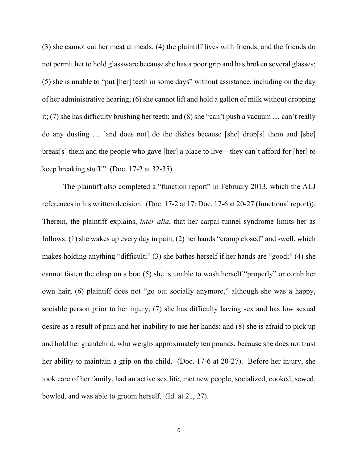(3) she cannot cut her meat at meals; (4) the plaintiff lives with friends, and the friends do not permit her to hold glassware because she has a poor grip and has broken several glasses; (5) she is unable to "put [her] teeth in some days" without assistance, including on the day of her administrative hearing; (6) she cannot lift and hold a gallon of milk without dropping it; (7) she has difficulty brushing her teeth; and (8) she "can't push a vacuum … can't really do any dusting … [and does not] do the dishes because [she] drop[s] them and [she] break[s] them and the people who gave [her] a place to live – they can't afford for [her] to keep breaking stuff." (Doc. 17-2 at 32-35).

The plaintiff also completed a "function report" in February 2013, which the ALJ references in his written decision. (Doc. 17-2 at 17; Doc. 17-6 at 20-27 (functional report)). Therein, the plaintiff explains, *inter alia*, that her carpal tunnel syndrome limits her as follows: (1) she wakes up every day in pain; (2) her hands "cramp closed" and swell, which makes holding anything "difficult;" (3) she bathes herself if her hands are "good;" (4) she cannot fasten the clasp on a bra; (5) she is unable to wash herself "properly" or comb her own hair; (6) plaintiff does not "go out socially anymore," although she was a happy, sociable person prior to her injury; (7) she has difficulty having sex and has low sexual desire as a result of pain and her inability to use her hands; and (8) she is afraid to pick up and hold her grandchild, who weighs approximately ten pounds, because she does not trust her ability to maintain a grip on the child. (Doc. 17-6 at 20-27). Before her injury, she took care of her family, had an active sex life, met new people, socialized, cooked, sewed, bowled, and was able to groom herself. (Id. at 21, 27).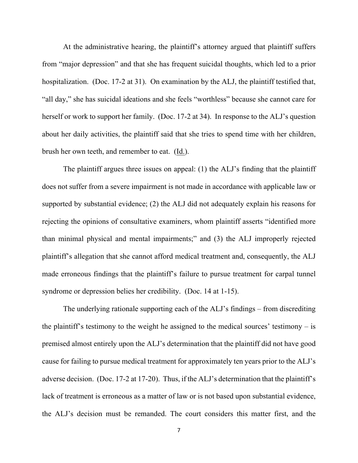At the administrative hearing, the plaintiff's attorney argued that plaintiff suffers from "major depression" and that she has frequent suicidal thoughts, which led to a prior hospitalization. (Doc. 17-2 at 31). On examination by the ALJ, the plaintiff testified that, "all day," she has suicidal ideations and she feels "worthless" because she cannot care for herself or work to support her family. (Doc. 17-2 at 34). In response to the ALJ's question about her daily activities, the plaintiff said that she tries to spend time with her children, brush her own teeth, and remember to eat. (Id.).

The plaintiff argues three issues on appeal: (1) the ALJ's finding that the plaintiff does not suffer from a severe impairment is not made in accordance with applicable law or supported by substantial evidence; (2) the ALJ did not adequately explain his reasons for rejecting the opinions of consultative examiners, whom plaintiff asserts "identified more than minimal physical and mental impairments;" and (3) the ALJ improperly rejected plaintiff's allegation that she cannot afford medical treatment and, consequently, the ALJ made erroneous findings that the plaintiff's failure to pursue treatment for carpal tunnel syndrome or depression belies her credibility. (Doc. 14 at 1-15).

The underlying rationale supporting each of the ALJ's findings – from discrediting the plaintiff's testimony to the weight he assigned to the medical sources' testimony  $-$  is premised almost entirely upon the ALJ's determination that the plaintiff did not have good cause for failing to pursue medical treatment for approximately ten years prior to the ALJ's adverse decision. (Doc. 17-2 at 17-20). Thus, if the ALJ's determination that the plaintiff's lack of treatment is erroneous as a matter of law or is not based upon substantial evidence, the ALJ's decision must be remanded. The court considers this matter first, and the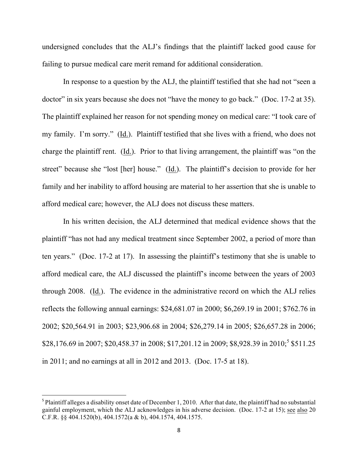undersigned concludes that the ALJ's findings that the plaintiff lacked good cause for failing to pursue medical care merit remand for additional consideration.

In response to a question by the ALJ, the plaintiff testified that she had not "seen a doctor" in six years because she does not "have the money to go back." (Doc. 17-2 at 35). The plaintiff explained her reason for not spending money on medical care: "I took care of my family. I'm sorry." (Id.). Plaintiff testified that she lives with a friend, who does not charge the plaintiff rent. (Id.). Prior to that living arrangement, the plaintiff was "on the street" because she "lost [her] house." (Id.). The plaintiff's decision to provide for her family and her inability to afford housing are material to her assertion that she is unable to afford medical care; however, the ALJ does not discuss these matters.

In his written decision, the ALJ determined that medical evidence shows that the plaintiff "has not had any medical treatment since September 2002, a period of more than ten years." (Doc. 17-2 at 17). In assessing the plaintiff's testimony that she is unable to afford medical care, the ALJ discussed the plaintiff's income between the years of 2003 through 2008. (Id.). The evidence in the administrative record on which the ALJ relies reflects the following annual earnings: \$24,681.07 in 2000; \$6,269.19 in 2001; \$762.76 in 2002; \$20,564.91 in 2003; \$23,906.68 in 2004; \$26,279.14 in 2005; \$26,657.28 in 2006; \$28,176.69 in 2007; \$20,458.37 in 2008; \$17,201.12 in 2009; \$8,928.39 in 2010;<sup>5</sup> \$511.25 in 2011; and no earnings at all in 2012 and 2013. (Doc. 17-5 at 18).

 $5$  Plaintiff alleges a disability onset date of December 1, 2010. After that date, the plaintiff had no substantial gainful employment, which the ALJ acknowledges in his adverse decision. (Doc. 17-2 at 15); see also 20 C.F.R. §§ 404.1520(b), 404.1572(a & b), 404.1574, 404.1575.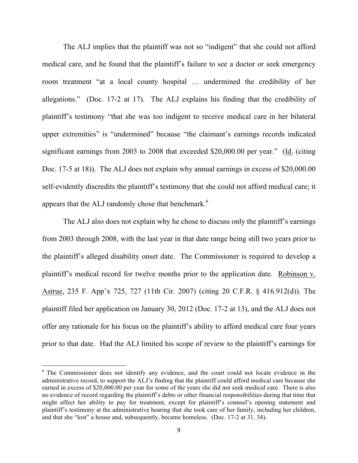The ALJ implies that the plaintiff was not so "indigent" that she could not afford medical care, and he found that the plaintiff's failure to see a doctor or seek emergency room treatment "at a local county hospital … undermined the credibility of her allegations." (Doc. 17-2 at 17). The ALJ explains his finding that the credibility of plaintiff's testimony "that she was too indigent to receive medical care in her bilateral upper extremities" is "undermined" because "the claimant's earnings records indicated significant earnings from 2003 to 2008 that exceeded \$20,000.00 per year." (Id. (citing Doc. 17-5 at 18)). The ALJ does not explain why annual earnings in excess of \$20,000.00 self-evidently discredits the plaintiff's testimony that she could not afford medical care; it appears that the ALJ randomly chose that benchmark.<sup>6</sup>

The ALJ also does not explain why he chose to discuss only the plaintiff's earnings from 2003 through 2008, with the last year in that date range being still two years prior to the plaintiff's alleged disability onset date. The Commissioner is required to develop a plaintiff's medical record for twelve months prior to the application date. Robinson v. Astrue, 235 F. App'x 725, 727 (11th Cir. 2007) (citing 20 C.F.R. § 416.912(d)). The plaintiff filed her application on January 30, 2012 (Doc. 17-2 at 13), and the ALJ does not offer any rationale for his focus on the plaintiff's ability to afford medical care four years prior to that date. Had the ALJ limited his scope of review to the plaintiff's earnings for

<sup>&</sup>lt;sup>6</sup> The Commissioner does not identify any evidence, and the court could not locate evidence in the administrative record, to support the ALJ's finding that the plaintiff could afford medical care because she earned in excess of \$20,000.00 per year for some of the years she did not seek medical care. There is also no evidence of record regarding the plaintiff's debts or other financial responsibilities during that time that might affect her ability to pay for treatment, except for plaintiff's counsel's opening statement and plaintiff's testimony at the administrative hearing that she took care of her family, including her children, and that she "lost" a house and, subsequently, became homeless. (Doc. 17-2 at 31, 34).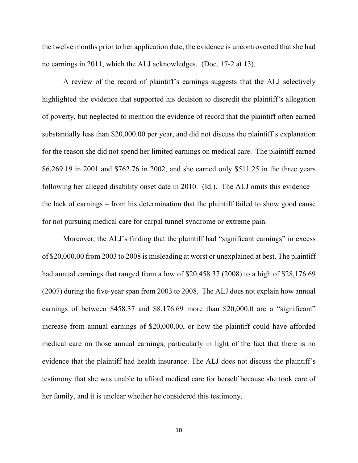the twelve months prior to her application date, the evidence is uncontroverted that she had no earnings in 2011, which the ALJ acknowledges. (Doc. 17-2 at 13).

A review of the record of plaintiff's earnings suggests that the ALJ selectively highlighted the evidence that supported his decision to discredit the plaintiff's allegation of poverty, but neglected to mention the evidence of record that the plaintiff often earned substantially less than \$20,000.00 per year, and did not discuss the plaintiff's explanation for the reason she did not spend her limited earnings on medical care. The plaintiff earned \$6,269.19 in 2001 and \$762.76 in 2002, and she earned only \$511.25 in the three years following her alleged disability onset date in 2010. (Id.). The ALJ omits this evidence – the lack of earnings – from his determination that the plaintiff failed to show good cause for not pursuing medical care for carpal tunnel syndrome or extreme pain.

Moreover, the ALJ's finding that the plaintiff had "significant earnings" in excess of \$20,000.00 from 2003 to 2008 is misleading at worst or unexplained at best. The plaintiff had annual earnings that ranged from a low of \$20,458.37 (2008) to a high of \$28,176.69 (2007) during the five-year span from 2003 to 2008. The ALJ does not explain how annual earnings of between \$458.37 and \$8,176.69 more than \$20,000.0 are a "significant" increase from annual earnings of \$20,000.00, or how the plaintiff could have afforded medical care on those annual earnings, particularly in light of the fact that there is no evidence that the plaintiff had health insurance. The ALJ does not discuss the plaintiff's testimony that she was unable to afford medical care for herself because she took care of her family, and it is unclear whether he considered this testimony.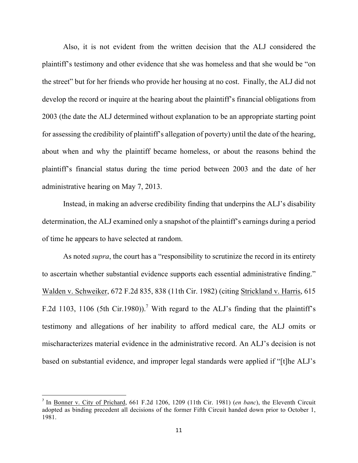Also, it is not evident from the written decision that the ALJ considered the plaintiff's testimony and other evidence that she was homeless and that she would be "on the street" but for her friends who provide her housing at no cost. Finally, the ALJ did not develop the record or inquire at the hearing about the plaintiff's financial obligations from 2003 (the date the ALJ determined without explanation to be an appropriate starting point for assessing the credibility of plaintiff's allegation of poverty) until the date of the hearing, about when and why the plaintiff became homeless, or about the reasons behind the plaintiff's financial status during the time period between 2003 and the date of her administrative hearing on May 7, 2013.

Instead, in making an adverse credibility finding that underpins the ALJ's disability determination, the ALJ examined only a snapshot of the plaintiff's earnings during a period of time he appears to have selected at random.

As noted *supra*, the court has a "responsibility to scrutinize the record in its entirety to ascertain whether substantial evidence supports each essential administrative finding." Walden v. Schweiker, 672 F.2d 835, 838 (11th Cir. 1982) (citing Strickland v. Harris, 615 F.2d 1103, 1106 (5th Cir.1980)).<sup>7</sup> With regard to the ALJ's finding that the plaintiff's testimony and allegations of her inability to afford medical care, the ALJ omits or mischaracterizes material evidence in the administrative record. An ALJ's decision is not based on substantial evidence, and improper legal standards were applied if "[t]he ALJ's

<sup>7</sup> In Bonner v. City of Prichard, 661 F.2d 1206, 1209 (11th Cir. 1981) (*en banc*), the Eleventh Circuit adopted as binding precedent all decisions of the former Fifth Circuit handed down prior to October 1, 1981.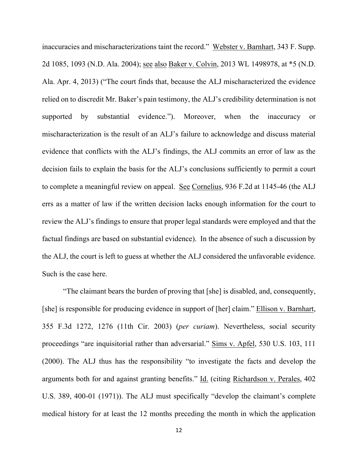inaccuracies and mischaracterizations taint the record." Webster v. Barnhart, 343 F. Supp. 2d 1085, 1093 (N.D. Ala. 2004); see also Baker v. Colvin, 2013 WL 1498978, at \*5 (N.D. Ala. Apr. 4, 2013) ("The court finds that, because the ALJ mischaracterized the evidence relied on to discredit Mr. Baker's pain testimony, the ALJ's credibility determination is not supported by substantial evidence."). Moreover, when the inaccuracy or mischaracterization is the result of an ALJ's failure to acknowledge and discuss material evidence that conflicts with the ALJ's findings, the ALJ commits an error of law as the decision fails to explain the basis for the ALJ's conclusions sufficiently to permit a court to complete a meaningful review on appeal. See Cornelius, 936 F.2d at 1145-46 (the ALJ errs as a matter of law if the written decision lacks enough information for the court to review the ALJ's findings to ensure that proper legal standards were employed and that the factual findings are based on substantial evidence). In the absence of such a discussion by the ALJ, the court is left to guess at whether the ALJ considered the unfavorable evidence. Such is the case here.

"The claimant bears the burden of proving that [she] is disabled, and, consequently, [she] is responsible for producing evidence in support of [her] claim." Ellison v. Barnhart, 355 F.3d 1272, 1276 (11th Cir. 2003) (*per curiam*). Nevertheless, social security proceedings "are inquisitorial rather than adversarial." Sims v. Apfel, 530 U.S. 103, 111 (2000). The ALJ thus has the responsibility "to investigate the facts and develop the arguments both for and against granting benefits." Id. (citing Richardson v. Perales, 402 U.S. 389, 400-01 (1971)). The ALJ must specifically "develop the claimant's complete medical history for at least the 12 months preceding the month in which the application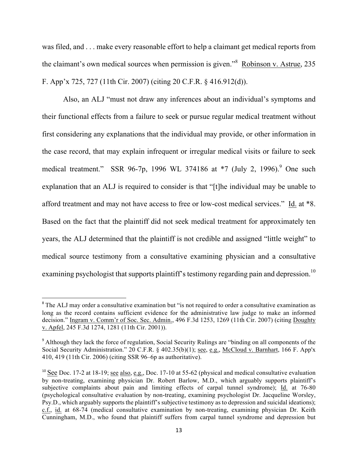was filed, and . . . make every reasonable effort to help a claimant get medical reports from the claimant's own medical sources when permission is given."<sup>8</sup> Robinson v. Astrue, 235 F. App'x 725, 727 (11th Cir. 2007) (citing 20 C.F.R. § 416.912(d)).

Also, an ALJ "must not draw any inferences about an individual's symptoms and their functional effects from a failure to seek or pursue regular medical treatment without first considering any explanations that the individual may provide, or other information in the case record, that may explain infrequent or irregular medical visits or failure to seek medical treatment." SSR 96-7p, 1996 WL 374186 at \*7 (July 2, 1996).<sup>9</sup> One such explanation that an ALJ is required to consider is that "[t]he individual may be unable to afford treatment and may not have access to free or low-cost medical services." Id. at \*8. Based on the fact that the plaintiff did not seek medical treatment for approximately ten years, the ALJ determined that the plaintiff is not credible and assigned "little weight" to medical source testimony from a consultative examining physician and a consultative examining psychologist that supports plaintiff's testimony regarding pain and depression.<sup>10</sup>

<sup>&</sup>lt;sup>8</sup> The ALJ may order a consultative examination but "is not required to order a consultative examination as long as the record contains sufficient evidence for the administrative law judge to make an informed decision." Ingram v. Comm'r of Soc. Sec. Admin., 496 F.3d 1253, 1269 (11th Cir. 2007) (citing Doughty v. Apfel, 245 F.3d 1274, 1281 (11th Cir. 2001)).

<sup>&</sup>lt;sup>9</sup> Although they lack the force of regulation, Social Security Rulings are "binding on all components of the Social Security Administration." 20 C.F.R. § 402.35(b)(1); see, e.g., McCloud v. Barnhart, 166 F. App'x 410, 419 (11th Cir. 2006) (citing SSR 96–6p as authoritative).

<sup>&</sup>lt;sup>10</sup> See Doc. 17-2 at 18-19; see also, e.g., Doc. 17-10 at 55-62 (physical and medical consultative evaluation by non-treating, examining physician Dr. Robert Barlow, M.D., which arguably supports plaintiff's subjective complaints about pain and limiting effects of carpal tunnel syndrome); Id. at 76-80 (psychological consultative evaluation by non-treating, examining psychologist Dr. Jacqueline Worsley, Psy.D., which arguably supports the plaintiff's subjective testimony as to depression and suicidal ideations); c.f., id. at 68-74 (medical consultative examination by non-treating, examining physician Dr. Keith Cunningham, M.D., who found that plaintiff suffers from carpal tunnel syndrome and depression but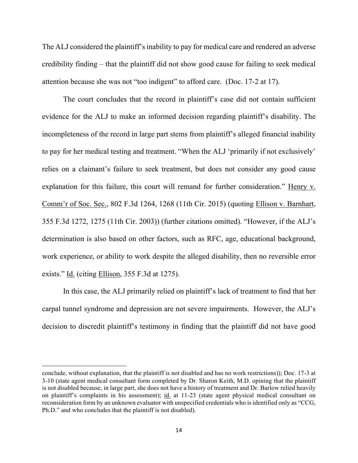The ALJ considered the plaintiff's inability to pay for medical care and rendered an adverse credibility finding – that the plaintiff did not show good cause for failing to seek medical attention because she was not "too indigent" to afford care. (Doc. 17-2 at 17).

The court concludes that the record in plaintiff's case did not contain sufficient evidence for the ALJ to make an informed decision regarding plaintiff's disability. The incompleteness of the record in large part stems from plaintiff's alleged financial inability to pay for her medical testing and treatment. "When the ALJ 'primarily if not exclusively' relies on a claimant's failure to seek treatment, but does not consider any good cause explanation for this failure, this court will remand for further consideration." Henry v. Comm'r of Soc. Sec., 802 F.3d 1264, 1268 (11th Cir. 2015) (quoting Ellison v. Barnhart, 355 F.3d 1272, 1275 (11th Cir. 2003)) (further citations omitted). "However, if the ALJ's determination is also based on other factors, such as RFC, age, educational background, work experience, or ability to work despite the alleged disability, then no reversible error exists." Id. (citing Ellison, 355 F.3d at 1275).

In this case, the ALJ primarily relied on plaintiff's lack of treatment to find that her carpal tunnel syndrome and depression are not severe impairments. However, the ALJ's decision to discredit plaintiff's testimony in finding that the plaintiff did not have good

conclude, without explanation, that the plaintiff is not disabled and has no work restrictions)); Doc. 17-3 at 3-10 (state agent medical consultant form completed by Dr. Sharon Keith, M.D. opining that the plaintiff is not disabled because, in large part, she does not have a history of treatment and Dr. Barlow relied heavily on plaintiff's complaints in his assessment); id. at 11-23 (state agent physical medical consultant on reconsideration form by an unknown evaluator with unspecified credentials who is identified only as "CCG, Ph.D." and who concludes that the plaintiff is not disabled).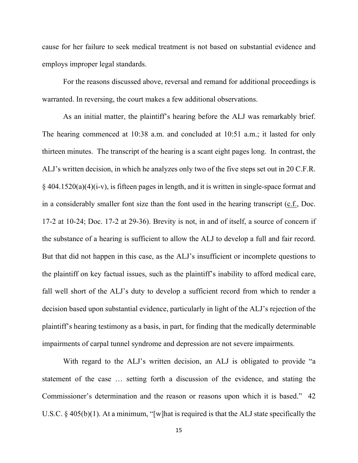cause for her failure to seek medical treatment is not based on substantial evidence and employs improper legal standards.

For the reasons discussed above, reversal and remand for additional proceedings is warranted. In reversing, the court makes a few additional observations.

As an initial matter, the plaintiff's hearing before the ALJ was remarkably brief. The hearing commenced at 10:38 a.m. and concluded at 10:51 a.m.; it lasted for only thirteen minutes. The transcript of the hearing is a scant eight pages long. In contrast, the ALJ's written decision, in which he analyzes only two of the five steps set out in 20 C.F.R. § 404.1520(a)(4)(i-v), is fifteen pages in length, and it is written in single-space format and in a considerably smaller font size than the font used in the hearing transcript (c.f., Doc. 17-2 at 10-24; Doc. 17-2 at 29-36). Brevity is not, in and of itself, a source of concern if the substance of a hearing is sufficient to allow the ALJ to develop a full and fair record. But that did not happen in this case, as the ALJ's insufficient or incomplete questions to the plaintiff on key factual issues, such as the plaintiff's inability to afford medical care, fall well short of the ALJ's duty to develop a sufficient record from which to render a decision based upon substantial evidence, particularly in light of the ALJ's rejection of the plaintiff's hearing testimony as a basis, in part, for finding that the medically determinable impairments of carpal tunnel syndrome and depression are not severe impairments.

With regard to the ALJ's written decision, an ALJ is obligated to provide "a statement of the case … setting forth a discussion of the evidence, and stating the Commissioner's determination and the reason or reasons upon which it is based." 42 U.S.C. § 405(b)(1). At a minimum, "[w]hat is required is that the ALJ state specifically the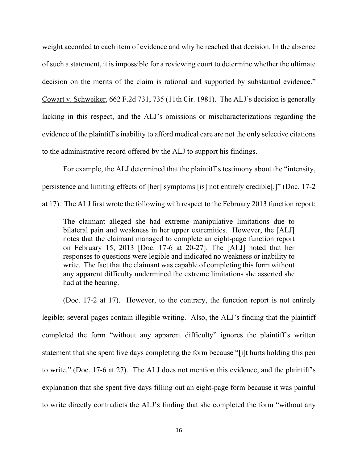weight accorded to each item of evidence and why he reached that decision. In the absence of such a statement, it is impossible for a reviewing court to determine whether the ultimate decision on the merits of the claim is rational and supported by substantial evidence." Cowart v. Schweiker, 662 F.2d 731, 735 (11th Cir. 1981). The ALJ's decision is generally lacking in this respect, and the ALJ's omissions or mischaracterizations regarding the evidence of the plaintiff's inability to afford medical care are not the only selective citations to the administrative record offered by the ALJ to support his findings.

For example, the ALJ determined that the plaintiff's testimony about the "intensity, persistence and limiting effects of [her] symptoms [is] not entirely credible[.]" (Doc. 17-2 at 17). The ALJ first wrote the following with respect to the February 2013 function report:

The claimant alleged she had extreme manipulative limitations due to bilateral pain and weakness in her upper extremities. However, the [ALJ] notes that the claimant managed to complete an eight-page function report on February 15, 2013 [Doc. 17-6 at 20-27]. The [ALJ] noted that her responses to questions were legible and indicated no weakness or inability to write. The fact that the claimant was capable of completing this form without any apparent difficulty undermined the extreme limitations she asserted she had at the hearing.

(Doc. 17-2 at 17). However, to the contrary, the function report is not entirely legible; several pages contain illegible writing. Also, the ALJ's finding that the plaintiff completed the form "without any apparent difficulty" ignores the plaintiff's written statement that she spent five days completing the form because "[i]t hurts holding this pen to write." (Doc. 17-6 at 27). The ALJ does not mention this evidence, and the plaintiff's explanation that she spent five days filling out an eight-page form because it was painful to write directly contradicts the ALJ's finding that she completed the form "without any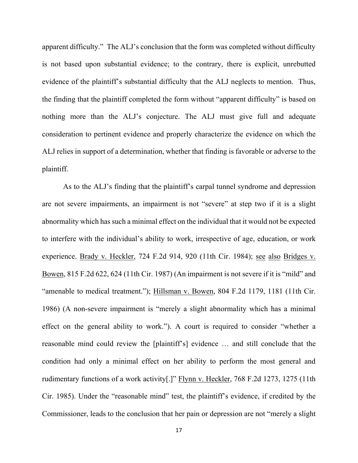apparent difficulty." The ALJ's conclusion that the form was completed without difficulty is not based upon substantial evidence; to the contrary, there is explicit, unrebutted evidence of the plaintiff's substantial difficulty that the ALJ neglects to mention. Thus, the finding that the plaintiff completed the form without "apparent difficulty" is based on nothing more than the ALJ's conjecture. The ALJ must give full and adequate consideration to pertinent evidence and properly characterize the evidence on which the ALJ relies in support of a determination, whether that finding is favorable or adverse to the plaintiff.

As to the ALJ's finding that the plaintiff's carpal tunnel syndrome and depression are not severe impairments, an impairment is not "severe" at step two if it is a slight abnormality which has such a minimal effect on the individual that it would not be expected to interfere with the individual's ability to work, irrespective of age, education, or work experience. Brady v. Heckler, 724 F.2d 914, 920 (11th Cir. 1984); see also Bridges v. Bowen, 815 F.2d 622, 624 (11th Cir. 1987) (An impairment is not severe if it is "mild" and "amenable to medical treatment."); Hillsman v. Bowen, 804 F.2d 1179, 1181 (11th Cir. 1986) (A non-severe impairment is "merely a slight abnormality which has a minimal effect on the general ability to work."). A court is required to consider "whether a reasonable mind could review the [plaintiff's] evidence … and still conclude that the condition had only a minimal effect on her ability to perform the most general and rudimentary functions of a work activity[.]" Flynn v. Heckler, 768 F.2d 1273, 1275 (11th Cir. 1985). Under the "reasonable mind" test, the plaintiff's evidence, if credited by the Commissioner, leads to the conclusion that her pain or depression are not "merely a slight